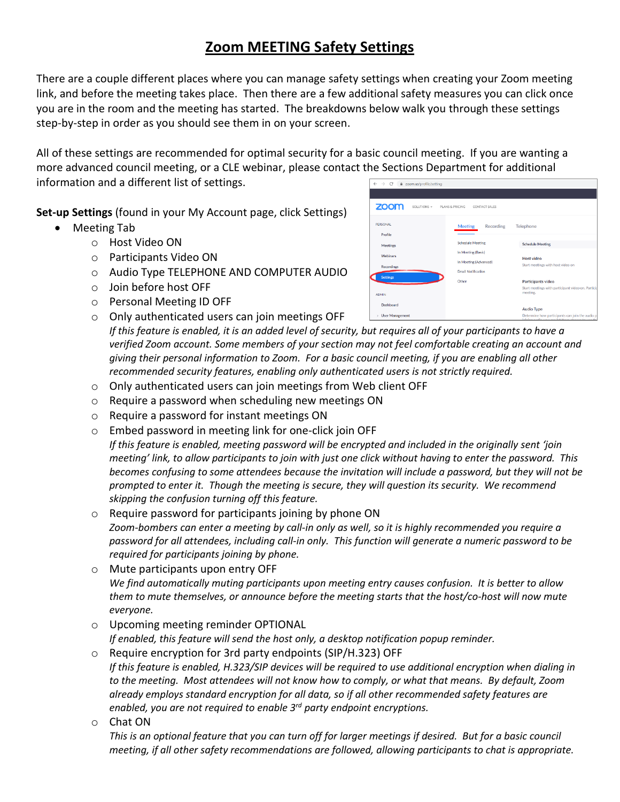## **Zoom MEETING Safety Settings**

There are a couple different places where you can manage safety settings when creating your Zoom meeting link, and before the meeting takes place. Then there are a few additional safety measures you can click once you are in the room and the meeting has started. The breakdowns below walk you through these settings step-by-step in order as you should see them in on your screen.

All of these settings are recommended for optimal security for a basic council meeting. If you are wanting a more advanced council meeting, or a CLE webinar, please contact the Sections Department for additional information and a different list of settings.

**Set-up Settings** (found in your My Account page, click Settings)

- Meeting Tab
	- o Host Video ON
	- o Participants Video ON
	- o Audio Type TELEPHONE AND COMPUTER AUDIO
	- o Join before host OFF
	- o Personal Meeting ID OFF
	- o Only authenticated users can join meetings OFF

| zoom<br>SOLUTIONS +    | PLANS & PRICING<br>CONTACT SALES                       |                                                                      |  |  |
|------------------------|--------------------------------------------------------|----------------------------------------------------------------------|--|--|
| PERSONAL<br>Profile    | <b>Meeting</b><br>Recording<br><b>Schedule Meeting</b> | Telephone<br><b>Schedule Meeting</b>                                 |  |  |
| Meetings               |                                                        |                                                                      |  |  |
| Webinars               | In Meeting (Basic)                                     | Host video                                                           |  |  |
| <b>Recordings</b>      | In Meeting (Advanced)                                  | Start meetings with host video on                                    |  |  |
|                        | <b>Email Notification</b>                              |                                                                      |  |  |
| <b>Settings</b>        | Other                                                  | Participants video                                                   |  |  |
| <b>ADMIN</b>           |                                                        | Start meetings with participant video on. Particip<br>meeting.       |  |  |
| Dashboard              |                                                        |                                                                      |  |  |
| <b>User Management</b> |                                                        | <b>Audio Type</b><br>Determine how participants can join the audio p |  |  |

*If this feature is enabled, it is an added level of security, but requires all of your participants to have a verified Zoom account. Some members of your section may not feel comfortable creating an account and giving their personal information to Zoom. For a basic council meeting, if you are enabling all other recommended security features, enabling only authenticated users is not strictly required.*

- o Only authenticated users can join meetings from Web client OFF
- o Require a password when scheduling new meetings ON
- o Require a password for instant meetings ON
- o Embed password in meeting link for one-click join OFF

*If this feature is enabled, meeting password will be encrypted and included in the originally sent 'join meeting' link, to allow participants to join with just one click without having to enter the password. This becomes confusing to some attendees because the invitation will include a password, but they will not be prompted to enter it. Though the meeting is secure, they will question its security. We recommend skipping the confusion turning off this feature.*

- o Require password for participants joining by phone ON *Zoom-bombers can enter a meeting by call-in only as well, so it is highly recommended you require a password for all attendees, including call-in only. This function will generate a numeric password to be required for participants joining by phone.*
- o Mute participants upon entry OFF *We find automatically muting participants upon meeting entry causes confusion. It is better to allow them to mute themselves, or announce before the meeting starts that the host/co-host will now mute everyone.*
- o Upcoming meeting reminder OPTIONAL *If enabled, this feature will send the host only, a desktop notification popup reminder.*
- o Require encryption for 3rd party endpoints (SIP/H.323) OFF *If this feature is enabled, H.323/SIP devices will be required to use additional encryption when dialing in to the meeting. Most attendees will not know how to comply, or what that means. By default, Zoom already employs standard encryption for all data, so if all other recommended safety features are enabled, you are not required to enable 3rd party endpoint encryptions.*
- o Chat ON

*This is an optional feature that you can turn off for larger meetings if desired. But for a basic council meeting, if all other safety recommendations are followed, allowing participants to chat is appropriate.*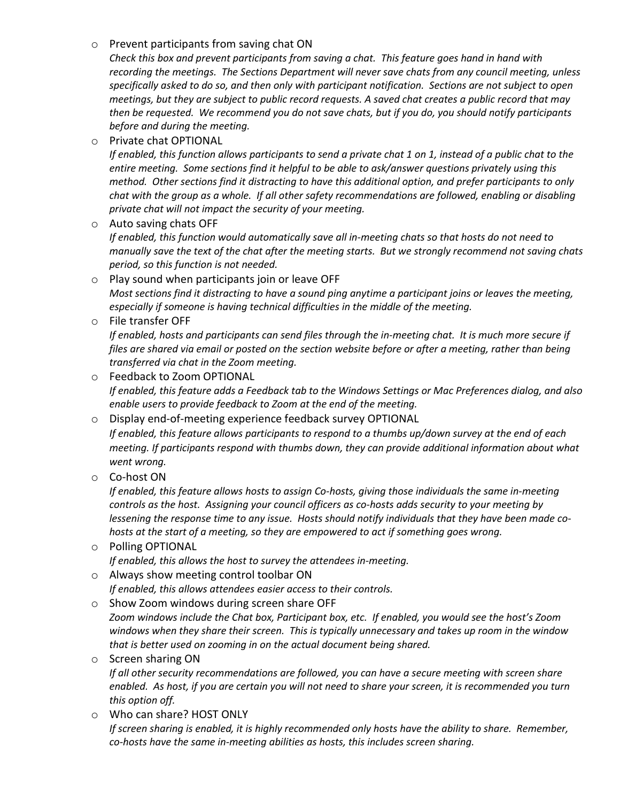## o Prevent participants from saving chat ON

*Check this box and prevent participants from saving a chat. This feature goes hand in hand with recording the meetings. The Sections Department will never save chats from any council meeting, unless specifically asked to do so, and then only with participant notification. Sections are not subject to open meetings, but they are subject to public record requests. A saved chat creates a public record that may then be requested. We recommend you do not save chats, but if you do, you should notify participants before and during the meeting.*

o Private chat OPTIONAL

*If enabled, this function allows participants to send a private chat 1 on 1, instead of a public chat to the entire meeting. Some sections find it helpful to be able to ask/answer questions privately using this method. Other sections find it distracting to have this additional option, and prefer participants to only chat with the group as a whole. If all other safety recommendations are followed, enabling or disabling private chat will not impact the security of your meeting.* 

o Auto saving chats OFF

*If enabled, this function would automatically save all in-meeting chats so that hosts do not need to manually save the text of the chat after the meeting starts. But we strongly recommend not saving chats period, so this function is not needed.*

- o Play sound when participants join or leave OFF *Most sections find it distracting to have a sound ping anytime a participant joins or leaves the meeting, especially if someone is having technical difficulties in the middle of the meeting.*
- o File transfer OFF

*If enabled, hosts and participants can send files through the in-meeting chat. It is much more secure if files are shared via email or posted on the section website before or after a meeting, rather than being transferred via chat in the Zoom meeting.*

- o Feedback to Zoom OPTIONAL *If enabled, this feature adds a Feedback tab to the Windows Settings or Mac Preferences dialog, and also enable users to provide feedback to Zoom at the end of the meeting.*
- o Display end-of-meeting experience feedback survey OPTIONAL

*If enabled, this feature allows participants to respond to a thumbs up/down survey at the end of each meeting. If participants respond with thumbs down, they can provide additional information about what went wrong.*

o Co-host ON

*If enabled, this feature allows hosts to assign Co-hosts, giving those individuals the same in-meeting controls as the host. Assigning your council officers as co-hosts adds security to your meeting by lessening the response time to any issue. Hosts should notify individuals that they have been made cohosts at the start of a meeting, so they are empowered to act if something goes wrong.* 

- o Polling OPTIONAL *If enabled, this allows the host to survey the attendees in-meeting.*
- o Always show meeting control toolbar ON

*If enabled, this allows attendees easier access to their controls.* 

o Show Zoom windows during screen share OFF

*Zoom windows include the Chat box, Participant box, etc. If enabled, you would see the host's Zoom windows when they share their screen. This is typically unnecessary and takes up room in the window that is better used on zooming in on the actual document being shared.*

o Screen sharing ON

*If all other security recommendations are followed, you can have a secure meeting with screen share enabled. As host, if you are certain you will not need to share your screen, it is recommended you turn this option off.* 

o Who can share? HOST ONLY *If screen sharing is enabled, it is highly recommended only hosts have the ability to share. Remember, co-hosts have the same in-meeting abilities as hosts, this includes screen sharing.*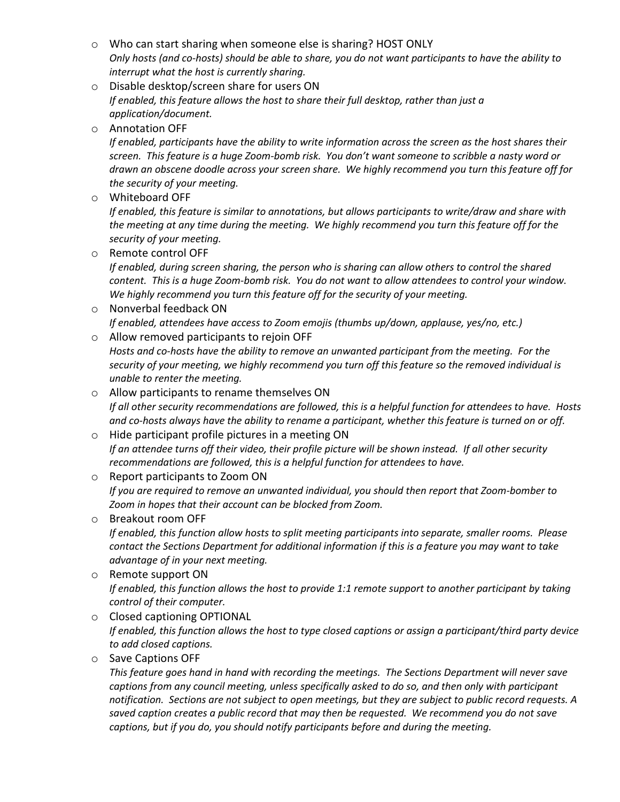- o Who can start sharing when someone else is sharing? HOST ONLY *Only hosts (and co-hosts) should be able to share, you do not want participants to have the ability to interrupt what the host is currently sharing.*
- o Disable desktop/screen share for users ON *If enabled, this feature allows the host to share their full desktop, rather than just a application/document.*
- o Annotation OFF

*If enabled, participants have the ability to write information across the screen as the host shares their screen. This feature is a huge Zoom-bomb risk. You don't want someone to scribble a nasty word or drawn an obscene doodle across your screen share. We highly recommend you turn this feature off for the security of your meeting.*

o Whiteboard OFF

*If enabled, this feature is similar to annotations, but allows participants to write/draw and share with the meeting at any time during the meeting. We highly recommend you turn this feature off for the security of your meeting.*

o Remote control OFF

*If enabled, during screen sharing, the person who is sharing can allow others to control the shared content. This is a huge Zoom-bomb risk. You do not want to allow attendees to control your window. We highly recommend you turn this feature off for the security of your meeting.*

- o Nonverbal feedback ON *If enabled, attendees have access to Zoom emojis (thumbs up/down, applause, yes/no, etc.)*
- o Allow removed participants to rejoin OFF *Hosts and co-hosts have the ability to remove an unwanted participant from the meeting. For the security of your meeting, we highly recommend you turn off this feature so the removed individual is*
- *unable to renter the meeting.*  o Allow participants to rename themselves ON *If all other security recommendations are followed, this is a helpful function for attendees to have. Hosts and co-hosts always have the ability to rename a participant, whether this feature is turned on or off.*
- o Hide participant profile pictures in a meeting ON *If an attendee turns off their video, their profile picture will be shown instead. If all other security recommendations are followed, this is a helpful function for attendees to have.*
- o Report participants to Zoom ON *If you are required to remove an unwanted individual, you should then report that Zoom-bomber to Zoom in hopes that their account can be blocked from Zoom.*
- o Breakout room OFF *If enabled, this function allow hosts to split meeting participants into separate, smaller rooms. Please contact the Sections Department for additional information if this is a feature you may want to take advantage of in your next meeting.*
- o Remote support ON *If enabled, this function allows the host to provide 1:1 remote support to another participant by taking control of their computer.*
- o Closed captioning OPTIONAL *If enabled, this function allows the host to type closed captions or assign a participant/third party device to add closed captions.*
- o Save Captions OFF

*This feature goes hand in hand with recording the meetings. The Sections Department will never save captions from any council meeting, unless specifically asked to do so, and then only with participant notification. Sections are not subject to open meetings, but they are subject to public record requests. A saved caption creates a public record that may then be requested. We recommend you do not save captions, but if you do, you should notify participants before and during the meeting.*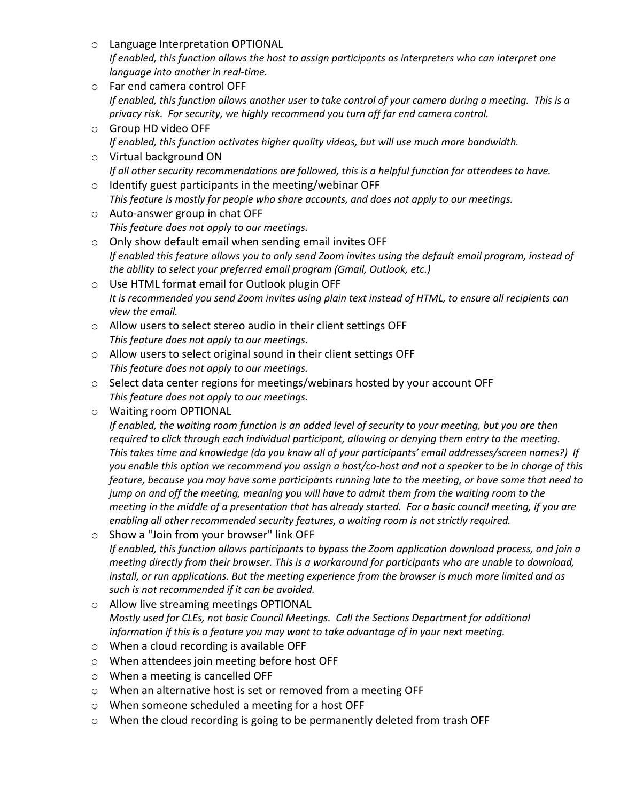- o Language Interpretation OPTIONAL *If enabled, this function allows the host to assign participants as interpreters who can interpret one language into another in real-time.*
- o Far end camera control OFF *If enabled, this function allows another user to take control of your camera during a meeting. This is a privacy risk. For security, we highly recommend you turn off far end camera control.*
- o Group HD video OFF *If enabled, this function activates higher quality videos, but will use much more bandwidth.*
- o Virtual background ON *If all other security recommendations are followed, this is a helpful function for attendees to have.*
- o Identify guest participants in the meeting/webinar OFF *This feature is mostly for people who share accounts, and does not apply to our meetings.*
- o Auto-answer group in chat OFF *This feature does not apply to our meetings.*
- o Only show default email when sending email invites OFF *If enabled this feature allows you to only send Zoom invites using the default email program, instead of the ability to select your preferred email program (Gmail, Outlook, etc.)*
- o Use HTML format email for Outlook plugin OFF *It is recommended you send Zoom invites using plain text instead of HTML, to ensure all recipients can view the email.*
- o Allow users to select stereo audio in their client settings OFF *This feature does not apply to our meetings.*
- o Allow users to select original sound in their client settings OFF *This feature does not apply to our meetings.*
- o Select data center regions for meetings/webinars hosted by your account OFF *This feature does not apply to our meetings.*
- o Waiting room OPTIONAL

*If enabled, the waiting room function is an added level of security to your meeting, but you are then required to click through each individual participant, allowing or denying them entry to the meeting. This takes time and knowledge (do you know all of your participants' email addresses/screen names?) If you enable this option we recommend you assign a host/co-host and not a speaker to be in charge of this feature, because you may have some participants running late to the meeting, or have some that need to jump on and off the meeting, meaning you will have to admit them from the waiting room to the meeting in the middle of a presentation that has already started. For a basic council meeting, if you are enabling all other recommended security features, a waiting room is not strictly required.*

- o Show a "Join from your browser" link OFF *If enabled, this function allows participants to bypass the Zoom application download process, and join a meeting directly from their browser. This is a workaround for participants who are unable to download, install, or run applications. But the meeting experience from the browser is much more limited and as such is not recommended if it can be avoided.*
- o Allow live streaming meetings OPTIONAL *Mostly used for CLEs, not basic Council Meetings. Call the Sections Department for additional information if this is a feature you may want to take advantage of in your next meeting.*
- o When a cloud recording is available OFF
- o When attendees join meeting before host OFF
- o When a meeting is cancelled OFF
- o When an alternative host is set or removed from a meeting OFF
- o When someone scheduled a meeting for a host OFF
- o When the cloud recording is going to be permanently deleted from trash OFF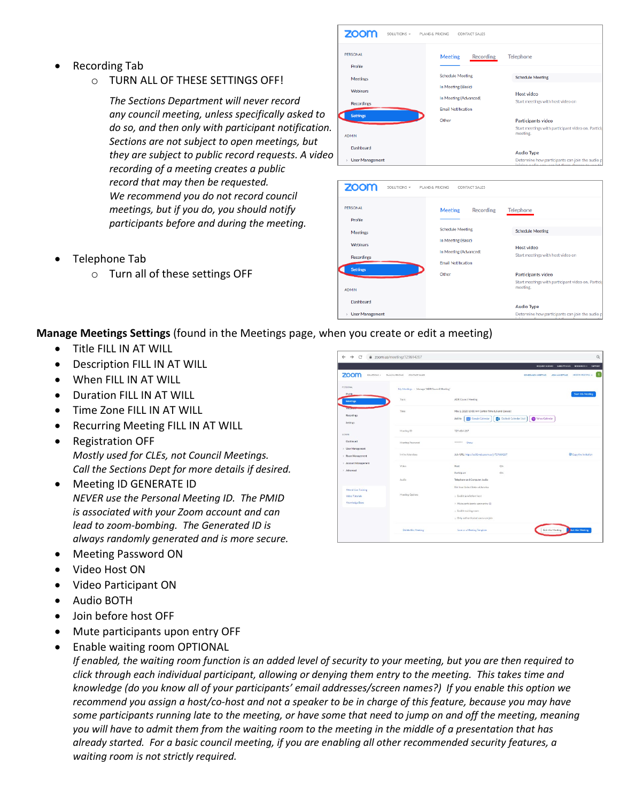- Recording Tab
	- o TURN ALL OF THESE SETTINGS OFF!

*The Sections Department will never record any council meeting, unless specifically asked to do so, and then only with participant notification. Sections are not subject to open meetings, but they are subject to public record requests. A video recording of a meeting creates a public record that may then be requested. We recommend you do not record council meetings, but if you do, you should notify participants before and during the meeting.*

- Telephone Tab
	- o Turn all of these settings OFF



| <b>ZOOM</b><br>SOLUTIONS + | PLANS & PRICING                             | CONTACT SALES |                                                                                                     |  |  |
|----------------------------|---------------------------------------------|---------------|-----------------------------------------------------------------------------------------------------|--|--|
| <b>PERSONAL</b><br>Profile | <b>Meeting</b>                              | Recording     | Telephone                                                                                           |  |  |
| <b>Meetings</b>            | <b>Schedule Meeting</b>                     |               | <b>Schedule Meeting</b>                                                                             |  |  |
| Webinars                   | In Meeting (Basic)<br>In Meeting (Advanced) |               | Host video                                                                                          |  |  |
| <b>Recordings</b>          | <b>Email Notification</b>                   |               | Start meetings with host video on                                                                   |  |  |
| <b>Settings</b>            | Other                                       |               | Participants video                                                                                  |  |  |
| <b>ADMIN</b>               |                                             |               | Start meetings with participant video on. Particip<br>meeting.                                      |  |  |
| Dashboard                  |                                             |               | <b>Audio Type</b>                                                                                   |  |  |
| <b>User Management</b>     |                                             |               | Determine how participants can join the audio p<br>inining sudin you can lot tham choose to use the |  |  |

## **Manage Meetings Settings** (found in the Meetings page, when you create or edit a meeting)

- Title FILL IN AT WILL
- Description FILL IN AT WILL
- When FILL IN AT WILL
- Duration FILL IN AT WILL
- Time Zone FILL IN AT WILL
- Recurring Meeting FILL IN AT WILL
- Registration OFF *Mostly used for CLEs, not Council Meetings. Call the Sections Dept for more details if desired.*
- Meeting ID GENERATE ID *NEVER use the Personal Meeting ID. The PMID is associated with your Zoom account and can lead to zoom-bombing. The Generated ID is always randomly generated and is more secure.*
- Meeting Password ON
- Video Host ON
- Video Participant ON
- Audio BOTH
- Join before host OFF
- Mute participants upon entry OFF
- Enable waiting room OPTIONAL

*If enabled, the waiting room function is an added level of security to your meeting, but you are then required to click through each individual participant, allowing or denying them entry to the meeting. This takes time and knowledge (do you know all of your participants' email addresses/screen names?) If you enable this option we recommend you assign a host/co-host and not a speaker to be in charge of this feature, because you may have some participants running late to the meeting, or have some that need to jump on and off the meeting, meaning you will have to admit them from the waiting room to the meeting in the middle of a presentation that has already started. For a basic council meeting, if you are enabling all other recommended security features, a waiting room is not strictly required.*

| zoom<br>SOLUTIONS -                    | CONTACT SALES<br>PLANS & PRICING           |                                                   | <b>SCHEDULE A MEETING</b>                  | REQUEST A DEMO 1 ANA 799 0025<br>HOST A MEETING -<br><b>JOIN A MEETING</b> |
|----------------------------------------|--------------------------------------------|---------------------------------------------------|--------------------------------------------|----------------------------------------------------------------------------|
| PERSONAL                               | My Meetings > Manage "ADR Council Meeting" |                                                   |                                            |                                                                            |
| <b>Profile</b><br>Meetings             | Topic                                      | ADR Council Meeting                               |                                            | <b>Start this Monting</b>                                                  |
| Vanual                                 | Time.                                      | May 2, 2020 10:00 AM Central Time IUS and Canada) |                                            |                                                                            |
| Recordings<br><b>Settings</b>          |                                            | <b>DVI</b> Google Calendar<br>Add to              | S Outlook Calendar (Jcs)<br>Vahoo Calendar |                                                                            |
| <b>ADMIN</b>                           | Meeting ID                                 | 729-614-267                                       |                                            |                                                                            |
| Doubboard                              | Meeting Password                           | --------<br>Show                                  |                                            |                                                                            |
| > User Management<br>> Room Management | Invite Attendees                           | Join URL: https://us02web.com.us/j/729614267      |                                            | <b>B</b> Copy the invitation                                               |
| > Account Management                   | Video                                      | Host                                              | On                                         |                                                                            |
| > Advanced                             |                                            | Participant                                       | Cn <sup>1</sup>                            |                                                                            |
|                                        | Audio                                      | Telephone and Computer Audio                      |                                            |                                                                            |
| <b>Attend Live Training</b>            |                                            | Dial from United States of America                |                                            |                                                                            |
| <b>Video Tutorials</b>                 | Meeting Options                            | $\times$ Enable join before host                  |                                            |                                                                            |
| Knowledge Base                         |                                            | $\times$ Mute participants upon entry (B)         |                                            |                                                                            |
|                                        |                                            | » Enable waiting room                             |                                            |                                                                            |
|                                        |                                            | x Only authenticated users can join               |                                            |                                                                            |